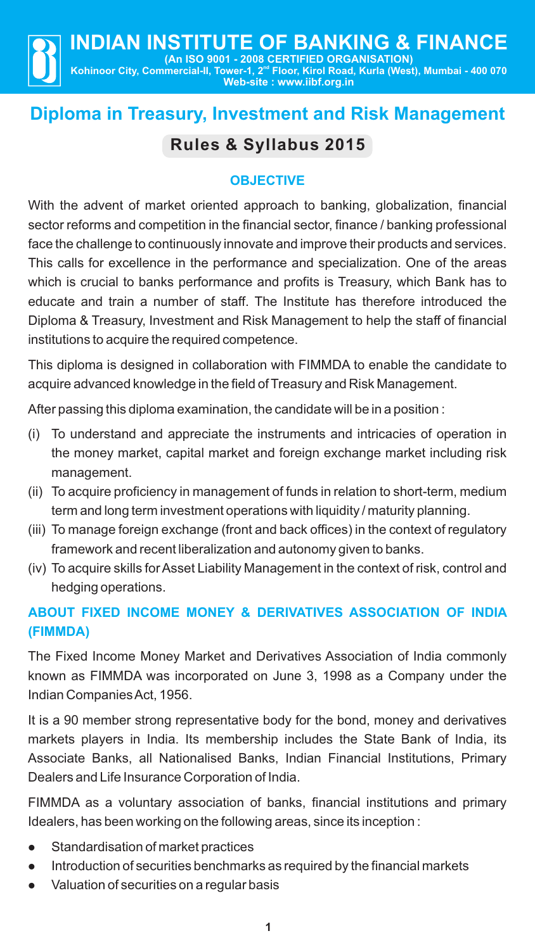# **Diploma in Treasury, Investment and Risk Management**

# **Rules & Syllabus 2015**

## **OBJECTIVE**

With the advent of market oriented approach to banking, globalization, financial sector reforms and competition in the financial sector, finance / banking professional face the challenge to continuously innovate and improve their products and services. This calls for excellence in the performance and specialization. One of the areas which is crucial to banks performance and profits is Treasury, which Bank has to educate and train a number of staff. The Institute has therefore introduced the Diploma & Treasury, Investment and Risk Management to help the staff of financial institutions to acquire the required competence.

This diploma is designed in collaboration with FIMMDA to enable the candidate to acquire advanced knowledge in the field of Treasury and Risk Management.

After passing this diploma examination, the candidate will be in a position :

- (i) To understand and appreciate the instruments and intricacies of operation in the money market, capital market and foreign exchange market including risk management.
- (ii) To acquire proficiency in management of funds in relation to short-term, medium term and long term investment operations with liquidity / maturity planning.
- (iii) To manage foreign exchange (front and back offices) in the context of regulatory framework and recent liberalization and autonomy given to banks.
- (iv) To acquire skills for Asset Liability Management in the context of risk, control and hedging operations.

## **ABOUT FIXED INCOME MONEY & DERIVATIVES ASSOCIATION OF INDIA (FIMMDA)**

The Fixed Income Money Market and Derivatives Association of India commonly known as FIMMDA was incorporated on June 3, 1998 as a Company under the Indian Companies Act, 1956.

It is a 90 member strong representative body for the bond, money and derivatives markets players in India. Its membership includes the State Bank of India, its Associate Banks, all Nationalised Banks, Indian Financial Institutions, Primary Dealers and Life Insurance Corporation of India.

FIMMDA as a voluntary association of banks, financial institutions and primary Idealers, has been working on the following areas, since its inception :

- 
- **ILATE Standardisation of market practices**<br>• Introduction of securities benchmarl ntroduction of securities benchmarks as required by the financial markets<br>• Valuation of securities on a regular basis
- Valuation of securities on a regular basis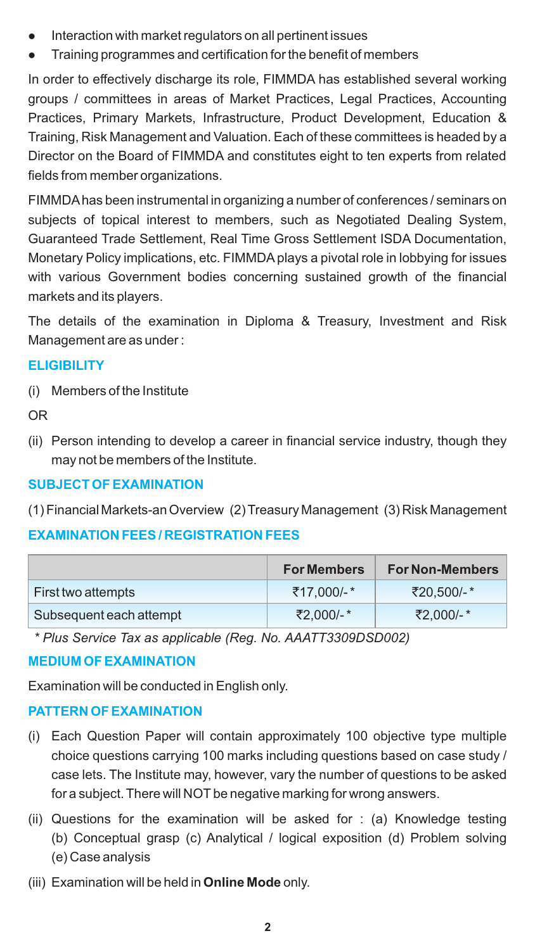- 
- Interaction with market regulators on all pertinent issues<br>● Training programmes and certification for the benefit of members

In order to effectively discharge its role, FIMMDA has established several working groups / committees in areas of Market Practices, Legal Practices, Accounting Practices, Primary Markets, Infrastructure, Product Development, Education & Training, Risk Management and Valuation. Each of these committees is headed by a Director on the Board of FIMMDA and constitutes eight to ten experts from related fields from member organizations.

FIMMDAhas been instrumental in organizing a number of conferences / seminars on subjects of topical interest to members, such as Negotiated Dealing System, Guaranteed Trade Settlement, Real Time Gross Settlement ISDA Documentation, Monetary Policy implications, etc. FIMMDAplays a pivotal role in lobbying for issues with various Government bodies concerning sustained growth of the financial markets and its players.

The details of the examination in Diploma & Treasury, Investment and Risk Management are as under :

## **ELIGIBILITY**

(i) Members of the Institute

OR

(ii) Person intending to develop a career in financial service industry, though they may not be members of the Institute.

## **SUBJECT OF EXAMINATION**

(1) Financial Markets-an Overview (2) Treasury Management (3) Risk Management

## **EXAMINATION FEES / REGISTRATION FEES**

|                         | <b>For Members</b> | <b>For Non-Members</b> |
|-------------------------|--------------------|------------------------|
| First two attempts      | ₹17.000/-*         | ₹20.500/-*             |
| Subsequent each attempt | ₹2.000/-*          | ₹2.000/-*              |

*\* Plus Service Tax as applicable (Reg. No. AAATT3309DSD002)*

## **MEDIUM OF EXAMINATION**

Examination will be conducted in English only.

## **PATTERN OF EXAMINATION**

- (i) Each Question Paper will contain approximately 100 objective type multiple choice questions carrying 100 marks including questions based on case study / case lets. The Institute may, however, vary the number of questions to be asked for a subject. There will NOT be negative marking for wrong answers.
- (ii) Questions for the examination will be asked for : (a) Knowledge testing (b) Conceptual grasp (c) Analytical / logical exposition (d) Problem solving (e) Case analysis
- (iii) Examination will be held in **Online Mode** only.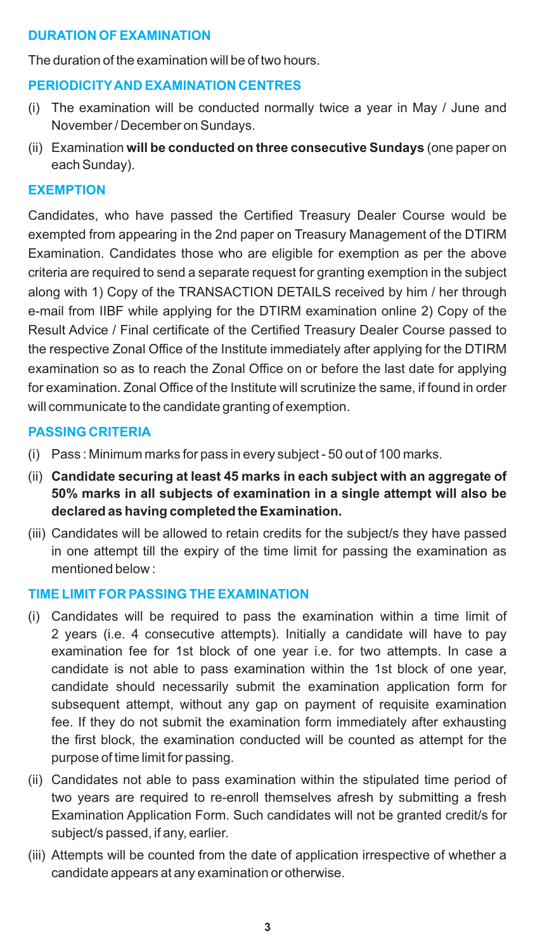## **DURATION OF EXAMINATION**

The duration of the examination will be of two hours.

### **PERIODICITYAND EXAMINATION CENTRES**

- (i) The examination will be conducted normally twice a year in May / June and November / December on Sundays.
- (ii) Examination **will be conducted on three consecutive Sundays** (one paper on each Sunday).

### **EXEMPTION**

Candidates, who have passed the Certified Treasury Dealer Course would be exempted from appearing in the 2nd paper on Treasury Management of the DTIRM Examination. Candidates those who are eligible for exemption as per the above criteria are required to send a separate request for granting exemption in the subject along with 1) Copy of the TRANSACTION DETAILS received by him / her through e-mail from IIBF while applying for the DTIRM examination online 2) Copy of the Result Advice / Final certificate of the Certified Treasury Dealer Course passed to the respective Zonal Office of the Institute immediately after applying for the DTIRM examination so as to reach the Zonal Office on or before the last date for applying for examination. Zonal Office of the Institute will scrutinize the same, if found in order will communicate to the candidate granting of exemption.

### **PASSING CRITERIA**

- (i) Pass : Minimum marks for pass in every subject 50 out of 100 marks.
- (ii) **Candidate securing at least 45 marks in each subject with an aggregate of 50% marks in all subjects of examination in a single attempt will also be declared as having completed the Examination.**
- (iii) Candidates will be allowed to retain credits for the subject/s they have passed in one attempt till the expiry of the time limit for passing the examination as mentioned below :

## **TIME LIMIT FOR PASSING THE EXAMINATION**

- (i) Candidates will be required to pass the examination within a time limit of 2 years (i.e. 4 consecutive attempts). Initially a candidate will have to pay examination fee for 1st block of one year i.e. for two attempts. In case a candidate is not able to pass examination within the 1st block of one year, candidate should necessarily submit the examination application form for subsequent attempt, without any gap on payment of requisite examination fee. If they do not submit the examination form immediately after exhausting the first block, the examination conducted will be counted as attempt for the purpose of time limit for passing.
- (ii) Candidates not able to pass examination within the stipulated time period of two years are required to re-enroll themselves afresh by submitting a fresh Examination Application Form. Such candidates will not be granted credit/s for subject/s passed, if any, earlier.
- (iii) Attempts will be counted from the date of application irrespective of whether a candidate appears at any examination or otherwise.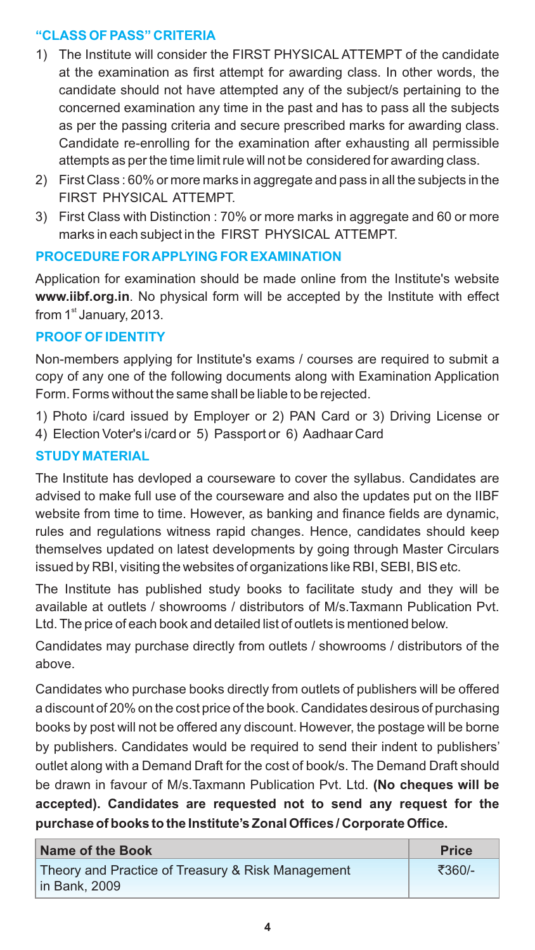## **"CLASS OF PASS" CRITERIA**

- 1) The Institute will consider the FIRST PHYSICAL ATTEMPT of the candidate at the examination as first attempt for awarding class. In other words, the candidate should not have attempted any of the subject/s pertaining to the concerned examination any time in the past and has to pass all the subjects as per the passing criteria and secure prescribed marks for awarding class. Candidate re-enrolling for the examination after exhausting all permissible attempts as per the time limit rule will not be considered for awarding class.
- 2) First Class : 60% or more marks in aggregate and pass in all the subjects in the FIRST PHYSICAL ATTEMPT.
- 3) First Class with Distinction : 70% or more marks in aggregate and 60 or more marks in each subject in the FIRST PHYSICAL ATTEMPT.

## **PROCEDURE FOR APPLYING FOR EXAMINATION**

Application for examination should be made online from the Institute's website **www.iibf.org.in**. No physical form will be accepted by the Institute with effect from  $1<sup>st</sup>$  January, 2013.

## **PROOF OF IDENTITY**

Non-members applying for Institute's exams / courses are required to submit a copy of any one of the following documents along with Examination Application Form. Forms without the same shall be liable to be rejected.

- 1) Photo i/card issued by Employer or 2) PAN Card or 3) Driving License or
- 4) Election Voter's i/card or 5) Passport or 6) Aadhaar Card

## **STUDY MATERIAL**

The Institute has devloped a courseware to cover the syllabus. Candidates are advised to make full use of the courseware and also the updates put on the IIBF website from time to time. However, as banking and finance fields are dynamic, rules and regulations witness rapid changes. Hence, candidates should keep themselves updated on latest developments by going through Master Circulars issued by RBI, visiting the websites of organizations like RBI, SEBI, BIS etc.

The Institute has published study books to facilitate study and they will be available at outlets / showrooms / distributors of M/s.Taxmann Publication Pvt. Ltd. The price of each book and detailed list of outlets is mentioned below.

Candidates may purchase directly from outlets / showrooms / distributors of the above.

Candidates who purchase books directly from outlets of publishers will be offered a discount of 20% on the cost price of the book. Candidates desirous of purchasing books by post will not be offered any discount. However, the postage will be borne by publishers. Candidates would be required to send their indent to publishers' outlet along with a Demand Draft for the cost of book/s. The Demand Draft should be drawn in favour of M/s.Taxmann Publication Pvt. Ltd. **(No cheques will be accepted). Candidates are requested not to send any request for the purchase of books to the Institute's Zonal Offices / Corporate Office.**

| Name of the Book                                  | <b>Price</b> |
|---------------------------------------------------|--------------|
| Theory and Practice of Treasury & Risk Management | ₹360/-       |
| l in Bank. 2009                                   |              |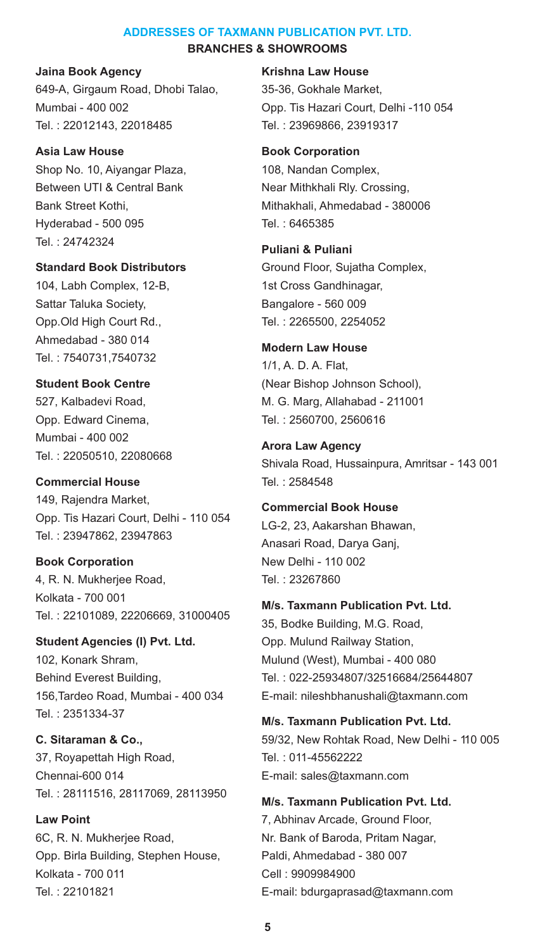#### **ADDRESSES OF TAXMANN PUBLICATION PVT. LTD. BRANCHES & SHOWROOMS**

**Jaina Book Agency** 649-A, Girgaum Road, Dhobi Talao, Mumbai - 400 002 Tel. : 22012143, 22018485

**Asia Law House** Shop No. 10, Aiyangar Plaza, Between UTI & Central Bank Bank Street Kothi, Hyderabad - 500 095 Tel. : 24742324

**Standard Book Distributors** 104, Labh Complex, 12-B, Sattar Taluka Society, Opp.Old High Court Rd., Ahmedabad - 380 014 Tel. : 7540731,7540732

**Student Book Centre** 527, Kalbadevi Road, Opp. Edward Cinema, Mumbai - 400 002 Tel. : 22050510, 22080668

**Commercial House** 149, Rajendra Market, Opp. Tis Hazari Court, Delhi - 110 054 Tel. : 23947862, 23947863

**Book Corporation** 4, R. N. Mukherjee Road, Kolkata - 700 001 Tel. : 22101089, 22206669, 31000405

**Student Agencies (I) Pvt. Ltd.** 102, Konark Shram, Behind Everest Building, 156,Tardeo Road, Mumbai - 400 034 Tel. : 2351334-37

**C. Sitaraman & Co.,** 37, Royapettah High Road, Chennai-600 014 Tel. : 28111516, 28117069, 28113950

**Law Point** 6C, R. N. Mukherjee Road, Opp. Birla Building, Stephen House, Kolkata - 700 011 Tel. : 22101821

#### **Krishna Law House**

35-36, Gokhale Market, Opp. Tis Hazari Court, Delhi -110 054 Tel. : 23969866, 23919317

**Book Corporation** 108, Nandan Complex,

Near Mithkhali Rly. Crossing, Mithakhali, Ahmedabad - 380006 Tel. : 6465385

**Puliani & Puliani** Ground Floor, Sujatha Complex, 1st Cross Gandhinagar, Bangalore - 560 009 Tel. : 2265500, 2254052

# **Modern Law House**

1/1, A. D. A. Flat, (Near Bishop Johnson School), M. G. Marg, Allahabad - 211001 Tel. : 2560700, 2560616

**Arora Law Agency** Shivala Road, Hussainpura, Amritsar - 143 001 Tel. : 2584548

**Commercial Book House** LG-2, 23, Aakarshan Bhawan, Anasari Road, Darya Ganj, New Delhi - 110 002 Tel. : 23267860

**M/s. Taxmann Publication Pvt. Ltd.** 35, Bodke Building, M.G. Road, Opp. Mulund Railway Station, Mulund (West), Mumbai - 400 080 Tel. : 022-25934807/32516684/25644807 E-mail: nileshbhanushali@taxmann.com

**M/s. Taxmann Publication Pvt. Ltd.** 59/32, New Rohtak Road, New Delhi - 110 005 Tel. : 011-45562222 E-mail: sales@taxmann.com

**M/s. Taxmann Publication Pvt. Ltd.** 7, Abhinav Arcade, Ground Floor, Nr. Bank of Baroda, Pritam Nagar, Paldi, Ahmedabad - 380 007 Cell : 9909984900 E-mail: bdurgaprasad@taxmann.com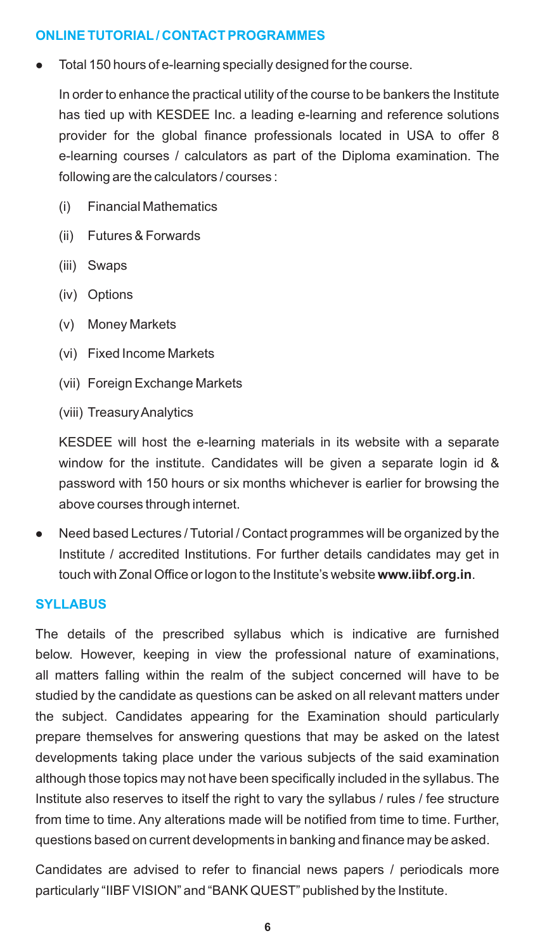## **ONLINE TUTORIAL/ CONTACT PROGRAMMES**

Total 150 hours of e-learning specially designed for the course.

In order to enhance the practical utility of the course to be bankers the Institute has tied up with KESDEE Inc. a leading e-learning and reference solutions provider for the global finance professionals located in USA to offer 8 e-learning courses / calculators as part of the Diploma examination. The following are the calculators / courses :

- (i) Financial Mathematics
- (ii) Futures & Forwards
- (iii) Swaps
- (iv) Options
- (v) Money Markets
- (vi) Fixed Income Markets
- (vii) Foreign Exchange Markets
- (viii) Treasury Analytics

KESDEE will host the e-learning materials in its website with a separate window for the institute. Candidates will be given a separate login id & password with 150 hours or six months whichever is earlier for browsing the above courses through internet.

• Need based Lectures / Tutorial / Contact programmes will be organized by the Institute / accredited Institutions. For further details candidates may get in touch with Zonal Office or logon to the Institute's website **www.iibf.org.in**.

## **SYLLABUS**

The details of the prescribed syllabus which is indicative are furnished below. However, keeping in view the professional nature of examinations, all matters falling within the realm of the subject concerned will have to be studied by the candidate as questions can be asked on all relevant matters under the subject. Candidates appearing for the Examination should particularly prepare themselves for answering questions that may be asked on the latest developments taking place under the various subjects of the said examination although those topics may not have been specifically included in the syllabus. The Institute also reserves to itself the right to vary the syllabus / rules / fee structure from time to time. Any alterations made will be notified from time to time. Further, questions based on current developments in banking and finance may be asked.

Candidates are advised to refer to financial news papers / periodicals more particularly "IIBF VISION" and "BANK QUEST" published by the Institute.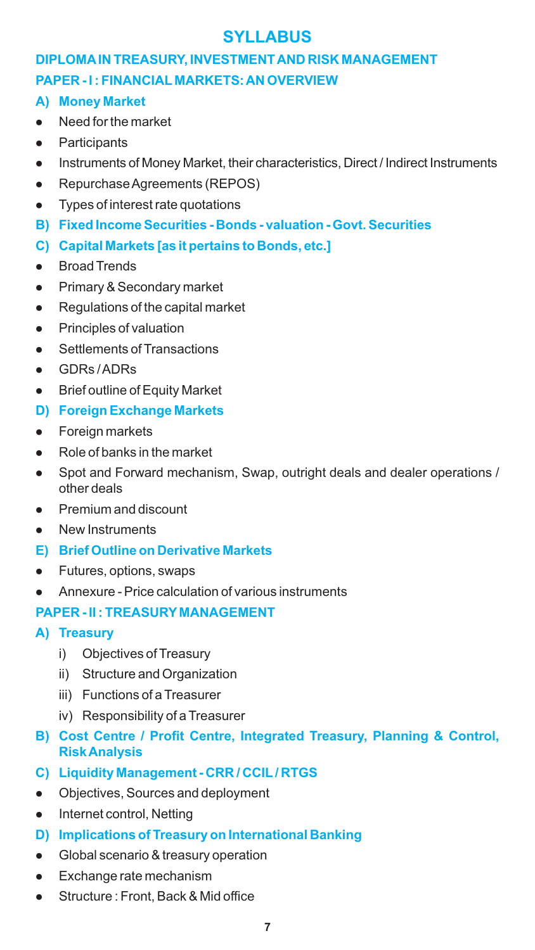# **SYLLABUS**

# **DIPLOMAIN TREASURY, INVESTMENT AND RISK MANAGEMENT PAPER - I : FINANCIAL MARKETS: AN OVERVIEW**

- **A) Money Market**
- Need for the market<br>• Participants
- 
- Participants<br>• Instruments ● Instruments of Money Market, their characteristics, Direct / Indirect Instruments<br>● Repurchase Agreements (REPOS)
- 
- Repurchase Agreements (REPOS)<br>● Types of interest rate quotations
- **B) Fixed Income Securities Bonds valuation Govt. Securities**
- **C) Capital Markets [as it pertains to Bonds, etc.]**
- 
- Broad Trends<br>● Primary & Secondary market
- Primary & Secondary market<br>● Regulations of the capital ma **•** Regulations of the capital market<br>• Principles of valuation
- 
- **•** Principles of valuation<br>• Settlements of Transa **•** Settlements of Transactions<br>• GDRs / ADRs
- 
- GDRs / ADRs<br>● Brief outline of Equity Market

## **D) Foreign Exchange Markets**

- 
- **•** Foreign markets<br>• Role of banks in the market
- Role of banks in the market<br>● Spot and Forward mechanism, Swap, outright deals and dealer operations / other deals<br>Premium and discount
- lPremium and discount New Instruments
- 
- **E) Brief Outline on Derivative Markets**
- 
- Futures, options, swaps<br>● Annexure Price calculation of various instruments

## **PAPER - II : TREASURY MANAGEMENT**

- **A) Treasury**
	- i) Objectives of Treasury
	- ii) Structure and Organization
	- iii) Functions of a Treasurer
	- iv) Responsibility of a Treasurer
- **B) Cost Centre / Profit Centre, Integrated Treasury, Planning & Control, Risk Analysis**
- **C) Liquidity Management CRR / CCIL/ RTGS**
- Objectives, Sources and deployment<br>• Internet control. Netting
- Internet control, Netting
- **D) Implications of Treasury on International Banking**
- **•** Global scenario & treasury operation<br>• Exchange rate mechanism
- 
- lExchange rate mechanism Structure : Front, Back & Mid office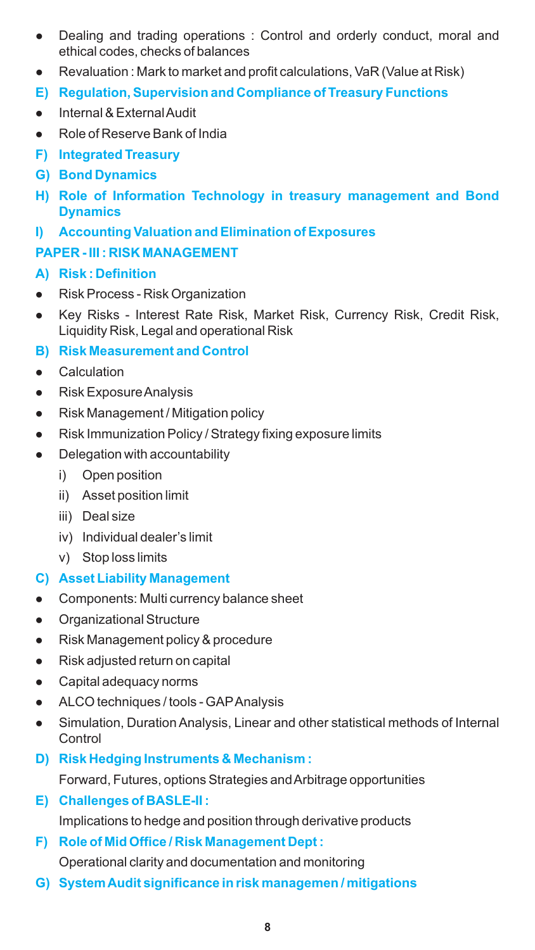- Dealing and trading operations : Control and orderly conduct, moral and
- lethical codes, checks of balances Revaluation : Mark to market and profit calculations, VaR (Value at Risk)
- **E) Regulation, Supervision and Compliance of Treasury Functions**
- 
- Internal & External Audit<br>● Role of Reserve Bank of India
- **F) Integrated Treasury**
- **G) Bond Dynamics**
- **H) Role of Information Technology in treasury management and Bond Dynamics**
- **I) Accounting Valuation and Elimination of Exposures**

## **PAPER - III : RISK MANAGEMENT**

## **A) Risk : Definition**

- 
- Risk Process Risk Organization<br>● Key Risks Interest Rate Risk, Market Risk, Currency Risk, Credit Risk, Liquidity Risk, Legal and operational Risk

## **B) Risk Measurement and Control**

- 
- Calculation<br>• Risk Exposure Analysis
- Risk Management / Mitigation policy
- Risk Management / Mitigation policy<br>● Risk Immunization Policy / Strategy f n Risk Immunization Policy / Strategy fixing exposure limits<br>Delegation with accountability
- Delegation with accountability
	- i) Open position
	- ii) Asset position limit
	- iii) Deal size
	- iv) Individual dealer's limit
	- v) Stop loss limits

## **C) Asset Liability Management**

- Components: Multi currency balance sheet<br>• Organizational Structure
- 
- **•** Organizational Structure<br>• Risk Management policy ● Risk Management policy & procedure<br>● Risk adjusted return on capital
- Risk adjusted return on capital<br>• Capital adequacy norms
- 
- ALCO techniques / tools GAP Analysis
- ALCO techniques / tools GAP Analysis<br>● Simulation, Duration Analysis, Linear and other statistical methods of Internal **Control**
- **D) Risk Hedging Instruments & Mechanism :**

Forward, Futures, options Strategies and Arbitrage opportunities

Implications to hedge and position through derivative products **E) Challenges of BASLE-II :**

## **F) Role of Mid Office / Risk Management Dept :**

Operational clarity and documentation and monitoring

**G) System Audit significance in risk managemen / mitigations**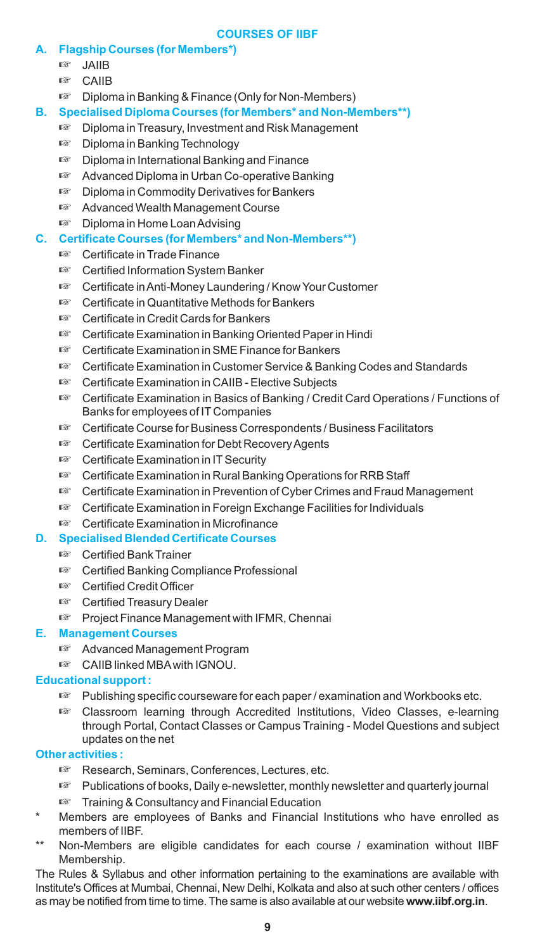#### **COURSES OF IIBF**

- **A. Flagship Courses (for Members\*)**
	- ☞☞JAIIB
	-
	- Diploma in Banking & Finance (Only for Non-Members)
- **B. Specialised Diploma Courses (for Members\* and Non-Members\*\*)** ® Diploma in Banking & Finance (Only for Non-Members)<br>Specialised Diploma Courses (for Members\* and Non-M<br>☞ Diploma in Treasury, Investment and Risk Managemen
	- <sup>্কে</sup> Diploma in Treasury, Investment and Risk Management<br>দ্ক্ষ Diploma in Banking Technology
	-
	- Diploma in International Banking and Finance
	- Advanced Diploma in Urban Co-operative Banking
	- Diploma in Commodity Derivatives for Bankers
	- ® Diploma in Commodity Derivatives for Bankers<br>☞ Advanced Wealth Management Course ¤™ Advanced Wealth Management Course<br>ফে Diploma in Home Loan Advising
	-
- **C. Certificate Courses (for Members\* and Non-Members\*\*)** ¤™ Diploma in Home Loan Advising<br><mark>Certificate Courses (for Members\*</mark><br>¤™ Certificate in Trade Finance
	-
	- Certificate in Trade Finance<br>■ Certified Information System Banker
	- ¤™ Certified Information System Banker<br>¤™ Certificate in Anti-Money Laundering ® Certificate in Anti-Money Laundering / Know Your Customer<br>☞ Certificate in Quantitative Methods for Bankers
	- Certificate in Quantitative Methods for Bankers<br>■ Certificate in Credit Cards for Bankers
	-
	- ¤™ Certificate in Credit Cards for Bankers<br>□ Certificate Examination in Banking Or
	- ® Certificate Examination in Banking Oriented Paper in Hindi<br>☞ Certificate Examination in SME Finance for Bankers
	- ® Certificate Examination in SME Finance for Bankers<br>☞ Certificate Examination in Customer Service & Bank ¤೯೦ertificate Examination in Customer Service & Banking Codes and Standards<br>¤೯೦Eertificate Examination in CAIIB - Elective Subjects
	-
	- ☞Certificate Examination in CAIIB Elective Subjects Certificate Examination in Basics of Banking / Credit Card Operations / Functions of
	- Banks for employees of IT Companies<br>© Certificate Course for Business Corre ® Certificate Course for Business Correspondents / Business Facilitators<br>☞ Certificate Examination for Debt Recovery Agents
	- <sup>¤</sup> Certificate Examination for Debt Recovery Agents<br><sup>■</sup> Certificate Examination in IT Security
	-
	- Certificate Examination in Rural Banking Operations for RRB Staff
	- ¤™ Certificate Examination in Rural Banking Operations for RRB Staff<br>¤™ Certificate Examination in Prevention of Cyber Crimes and Fraud M േ Certificate Examination in Prevention of Cyber Crimes and Fraud Management<br>☞ Certificate Examination in Foreign Exchange Facilities for Individuals
	- <sup>্কে</sup> Certificate Examination in Foreign Exchange Facilities for Individuals<br><sup>জে</sup> Certificate Examination in Microfinance
	-

# **D. Specialised Blended Certificate Courses** ® Certificate Examination in Microfinance<br>Specialised Blended Certificate Courses<br>☞ Certified Bank Trainer

- 
- ¤™ Certified Bank Trainer<br>ফে Certified Banking Con <sup>ಟ್ Certified Banking Compliance Professional<br>ಟ್ Certified Credit Officer</sup>
- াজ Certified Credit Officer<br>াজ Certified Treasury Dealer
- 
- ¤™ Certified Treasury Dealer<br>ফ্স Project Finance Manager *জ* Project Finance Management with IFMR, Chennai<br><mark>Management Courses</mark><br>জ Advanced Management Program

### **E. Management Courses**

- **াক্ত** Advanced Management Program<br>**াক্ত** CAIIB linked MBA with IGNOU.
- 

### **Educational support :**

- Publishing specific courseware for each paper / examination and Workbooks etc.
- ☞Publishing specific courseware for each paper / examination and Workbooks etc. Classroom learning through Accredited Institutions, Video Classes, e-learning through Portal, Contact Classes or Campus Training - Model Questions and subject

### **Other activities :**

- Research, Seminars, Conferences, Lectures, etc.
- ® Research, Seminars, Conferences, Lectures, etc.<br>☞ Publications of books, Daily e-newsletter, monthly © Publications of books, Daily e-newsletter, monthly newsletter and quarterly journal<br>☞ Training & Consultancy and Financial Education
- **EXECUTE:** Training & Consultancy and Financial Education
- Members are employees of Banks and Financial Institutions who have enrolled as members of IIBF.
- Non-Members are eligible candidates for each course / examination without IIBF Membership.

The Rules & Syllabus and other information pertaining to the examinations are available with Institute's Offices at Mumbai, Chennai, New Delhi, Kolkata and also at such other centers / offices as may be notified from time to time. The same is also available at our website **www.iibf.org.in**.